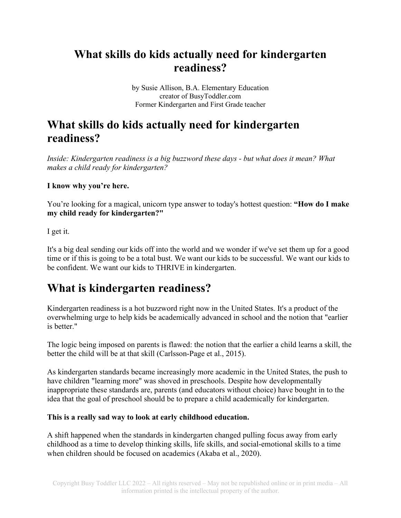## **What skills do kids actually need for kindergarten readiness?**

by Susie Allison, B.A. Elementary Education creator of BusyToddler.com Former Kindergarten and First Grade teacher

## **What skills do kids actually need for kindergarten readiness?**

*Inside: Kindergarten readiness is a big buzzword these days - but what does it mean? What makes a child ready for kindergarten?* 

**I know why you're here.**

You're looking for a magical, unicorn type answer to today's hottest question: **"How do I make my child ready for kindergarten?"**

I get it.

It's a big deal sending our kids off into the world and we wonder if we've set them up for a good time or if this is going to be a total bust. We want our kids to be successful. We want our kids to be confident. We want our kids to THRIVE in kindergarten.

## **What is kindergarten readiness?**

Kindergarten readiness is a hot buzzword right now in the United States. It's a product of the overwhelming urge to help kids be academically advanced in school and the notion that "earlier is better."

The logic being imposed on parents is flawed: the notion that the earlier a child learns a skill, the better the child will be at that skill (Carlsson-Page et al., 2015).

As kindergarten standards became increasingly more academic in the United States, the push to have children "learning more" was shoved in preschools. Despite how developmentally inappropriate these standards are, parents (and educators without choice) have bought in to the idea that the goal of preschool should be to prepare a child academically for kindergarten.

#### **This is a really sad way to look at early childhood education.**

A shift happened when the standards in kindergarten changed pulling focus away from early childhood as a time to develop thinking skills, life skills, and social-emotional skills to a time when children should be focused on academics (Akaba et al., 2020).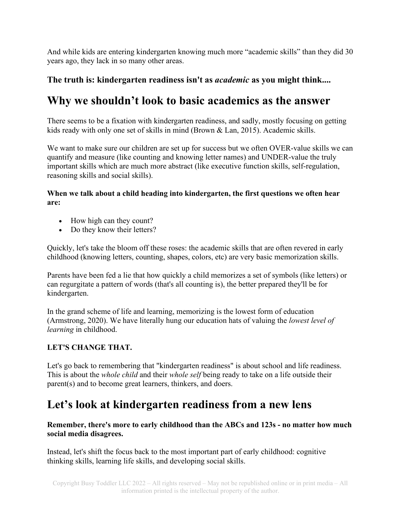And while kids are entering kindergarten knowing much more "academic skills" than they did 30 years ago, they lack in so many other areas.

### **The truth is: kindergarten readiness isn't as** *academic* **as you might think....**

### **Why we shouldn't look to basic academics as the answer**

There seems to be a fixation with kindergarten readiness, and sadly, mostly focusing on getting kids ready with only one set of skills in mind (Brown & Lan, 2015). Academic skills.

We want to make sure our children are set up for success but we often OVER-value skills we can quantify and measure (like counting and knowing letter names) and UNDER-value the truly important skills which are much more abstract (like executive function skills, self-regulation, reasoning skills and social skills).

#### **When we talk about a child heading into kindergarten, the first questions we often hear are:**

- How high can they count?
- Do they know their letters?

Quickly, let's take the bloom off these roses: the academic skills that are often revered in early childhood (knowing letters, counting, shapes, colors, etc) are very basic memorization skills.

Parents have been fed a lie that how quickly a child memorizes a set of symbols (like letters) or can regurgitate a pattern of words (that's all counting is), the better prepared they'll be for kindergarten.

In the grand scheme of life and learning, memorizing is the [lowest form of education](https://cft.vanderbilt.edu/guides-sub-pages/blooms-taxonomy/) (Armstrong, 2020). We have literally hung our education hats of valuing the *lowest level of learning* in childhood.

### **LET'S CHANGE THAT.**

Let's go back to remembering that "kindergarten readiness" is about school and life readiness. This is about the *whole child* and their *whole self* being ready to take on a life outside their parent(s) and to become great learners, thinkers, and doers.

## **Let's look at kindergarten readiness from a new lens**

**Remember, there's more to early childhood than the ABCs and 123s - no matter how much social media disagrees.** 

Instead, let's shift the focus back to the most important part of early childhood: cognitive thinking skills, learning life skills, and developing social skills.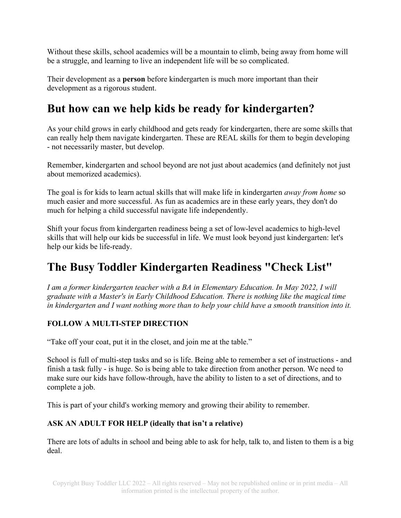Without these skills, school academics will be a mountain to climb, being away from home will be a struggle, and learning to live an independent life will be so complicated.

Their development as a **person** before kindergarten is much more important than their development as a rigorous student.

# **But how can we help kids be ready for kindergarten?**

As your child grows in early childhood and gets ready for kindergarten, there are some skills that can really help them navigate kindergarten. These are REAL skills for them to begin developing - not necessarily master, but develop.

Remember, kindergarten and school beyond are not just about academics (and definitely not just about memorized academics).

The goal is for kids to learn actual skills that will make life in kindergarten *away from home* so much easier and more successful. As fun as academics are in these early years, they don't do much for helping a child successful navigate life independently.

Shift your focus from kindergarten readiness being a set of low-level academics to high-level skills that will help our kids be successful in life. We must look beyond just kindergarten: let's help our kids be life-ready.

# **The Busy Toddler Kindergarten Readiness "Check List"**

*I am a former kindergarten teacher with a BA in Elementary Education. In May 2022, I will graduate with a Master's in Early Childhood Education. There is nothing like the magical time in kindergarten and I want nothing more than to help your child have a smooth transition into it.*

### **FOLLOW A MULTI-STEP DIRECTION**

"Take off your coat, put it in the closet, and join me at the table."

School is full of multi-step tasks and so is life. Being able to remember a set of instructions - and finish a task fully - is huge. So is being able to take direction from another person. We need to make sure our kids have follow-through, have the ability to listen to a set of directions, and to complete a job.

This is part of your child's working memory and growing their ability to remember.

### **ASK AN ADULT FOR HELP (ideally that isn't a relative)**

There are lots of adults in school and being able to ask for help, talk to, and listen to them is a big deal.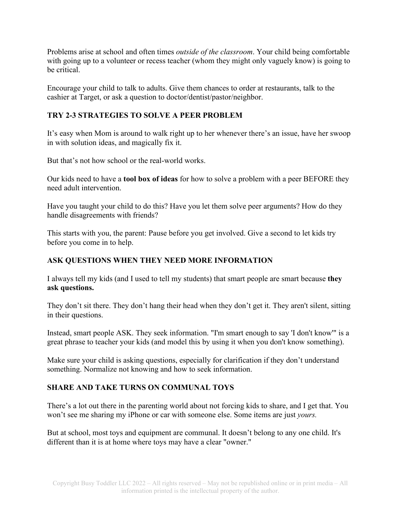Problems arise at school and often times *outside of the classroom*. Your child being comfortable with going up to a volunteer or recess teacher (whom they might only vaguely know) is going to be critical.

Encourage your child to talk to adults. Give them chances to order at restaurants, talk to the cashier at Target, or ask a question to doctor/dentist/pastor/neighbor.

#### **TRY 2-3 STRATEGIES TO SOLVE A PEER PROBLEM**

It's easy when Mom is around to walk right up to her whenever there's an issue, have her swoop in with solution ideas, and magically fix it.

But that's not how school or the real-world works.

Our kids need to have a **tool box of ideas** for how to solve a problem with a peer BEFORE they need adult intervention.

Have you taught your child to do this? Have you let them solve peer arguments? How do they handle disagreements with friends?

This starts with you, the parent: Pause before you get involved. Give a second to let kids try before you come in to help.

#### **ASK QUESTIONS WHEN THEY NEED MORE INFORMATION**

I always tell my kids (and I used to tell my students) that smart people are smart because **they ask questions.**

They don't sit there. They don't hang their head when they don't get it. They aren't silent, sitting in their questions.

Instead, smart people ASK. They seek information. "I'm smart enough to say 'I don't know'" is a great phrase to teacher your kids (and model this by using it when you don't know something).

Make sure your child is asking questions, especially for clarification if they don't understand something. Normalize not knowing and how to seek information.

#### **SHARE AND TAKE TURNS ON COMMUNAL TOYS**

There's a lot out there in the parenting world about [not forcing kids to share,](https://www.mother.ly/child/montessori-at-home-why-we-dont-force-kids-to-share) and I get that. You won't see me sharing my iPhone or car with someone else. Some items are just *yours.*

But at school, most toys and equipment are communal. It doesn't belong to any one child. It's different than it is at home where toys may have a clear "owner."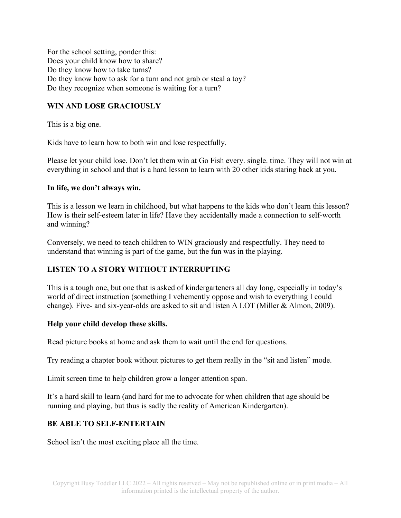For the school setting, ponder this: Does your child know how to share? Do they know how to take turns? Do they know how to ask for a turn and not grab or steal a toy? Do they recognize when someone is waiting for a turn?

### **WIN AND LOSE GRACIOUSLY**

This is a big one.

Kids have to learn how to both win and lose respectfully.

Please let your child lose. Don't let them win at Go Fish every. single. time. They will not win at everything in school and that is a hard lesson to learn with 20 other kids staring back at you.

#### **In life, we don't always win.**

This is a lesson we learn in childhood, but what happens to the kids who don't learn this lesson? How is their self-esteem later in life? Have they accidentally made a connection to self-worth and winning?

Conversely, we need to teach children to WIN graciously and respectfully. They need to understand that winning is part of the game, but the fun was in the playing.

### **LISTEN TO A STORY WITHOUT INTERRUPTING**

This is a tough one, but one that is asked of kindergarteners all day long, especially in today's world of direct instruction (something I vehemently oppose and wish to everything I could change). Five- and six-year-olds are asked to sit and listen A LOT (Miller & Almon, 2009).

#### **Help your child develop these skills.**

Read picture books at home and ask them to wait until the end for questions.

Try reading a chapter book without pictures to get them really in the "sit and listen" mode.

Limit screen time to help children grow a longer attention span.

It's a hard skill to learn (and hard for me to advocate for when children that age should be running and playing, but thus is sadly the reality of American Kindergarten).

#### **BE ABLE TO SELF-ENTERTAIN**

School isn't the most exciting place all the time.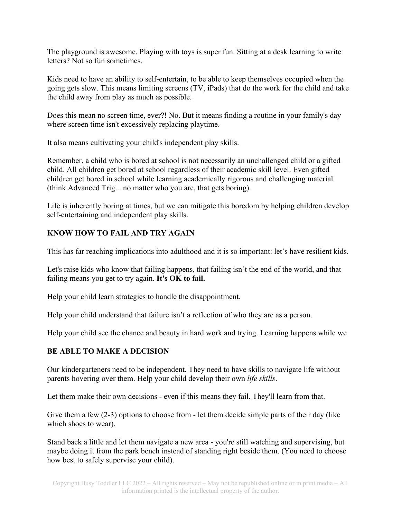The playground is awesome. Playing with toys is super fun. Sitting at a desk learning to write letters? Not so fun sometimes.

Kids need to have an ability to self-entertain, to be able to keep themselves occupied when the going gets slow. This means limiting screens (TV, iPads) that do the work for the child and take the child away from play as much as possible.

Does this mean no screen time, ever?! No. But it means finding a routine in your family's day where screen time isn't excessively replacing playtime.

It also means cultivating your child's independent play skills.

Remember, a child who is bored at school is not necessarily an unchallenged child or a gifted child. All children get bored at school regardless of their academic skill level. Even gifted children get bored in school while learning academically rigorous and challenging material (think Advanced Trig... no matter who you are, that gets boring).

Life is inherently boring at times, but we can mitigate this boredom by helping children develop self-entertaining and independent play skills.

#### **KNOW HOW TO FAIL AND TRY AGAIN**

This has far reaching implications into adulthood and it is so important: let's have resilient kids.

Let's raise kids who know that failing happens, that failing isn't the end of the world, and that failing means you get to try again. **It's OK to fail.**

Help your child learn strategies to handle the disappointment.

Help your child understand that failure isn't a reflection of who they are as a person.

Help your child see the chance and beauty in hard work and trying. Learning happens while we

#### **BE ABLE TO MAKE A DECISION**

Our kindergarteners need to be independent. They need to have skills to navigate life without parents hovering over them. Help your child develop their own *life skills*.

Let them make their own decisions - even if this means they fail. They'll learn from that.

Give them a few (2-3) options to choose from - let them decide simple parts of their day (like which shoes to wear).

Stand back a little and let them navigate a new area - you're still watching and supervising, but maybe doing it from the park bench instead of standing right beside them. (You need to choose how best to safely supervise your child).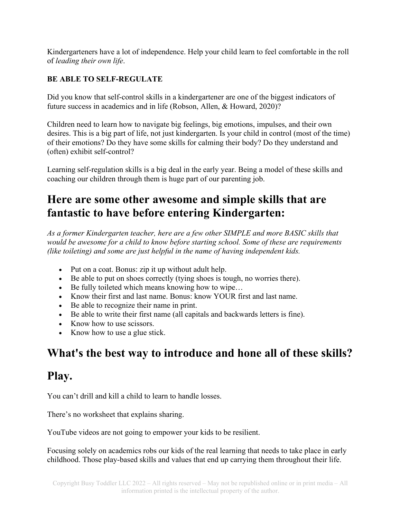Kindergarteners have a lot of independence. Help your child learn to feel comfortable in the roll of *leading their own life*.

### **BE ABLE TO SELF-REGULATE**

Did you know that self-control skills in a kindergartener are one of the biggest indicators of future success in academics and in life (Robson, Allen, & Howard, 2020)?

Children need to learn how to navigate big feelings, big emotions, impulses, and their own desires. This is a big part of life, not just kindergarten. Is your child in control (most of the time) of their emotions? Do they have some skills for calming their body? Do they understand and (often) exhibit self-control?

Learning self-regulation skills is a big deal in the early year. Being a model of these skills and coaching our children through them is huge part of our parenting job.

# **Here are some other awesome and simple skills that are fantastic to have before entering Kindergarten:**

*As a former Kindergarten teacher, here are a few other SIMPLE and more BASIC skills that would be awesome for a child to know before starting school. Some of these are requirements (like toileting) and some are just helpful in the name of having independent kids.*

- Put on a coat. Bonus: zip it up without adult help.
- Be able to put on shoes correctly (tying shoes is tough, no worries there).
- Be fully toileted which means knowing how to wipe...
- Know their first and last name. Bonus: know YOUR first and last name.
- Be able to recognize their name in print.
- Be able to write their first name (all capitals and backwards letters is fine).
- Know how to use scissors.
- Know how to use a glue stick.

## **What's the best way to introduce and hone all of these skills?**

### **Play.**

You can't drill and kill a child to learn to handle losses.

There's no worksheet that explains sharing.

YouTube videos are not going to empower your kids to be resilient.

Focusing solely on academics robs our kids of the real learning that needs to take place in early childhood. Those play-based skills and values that end up carrying them throughout their life.